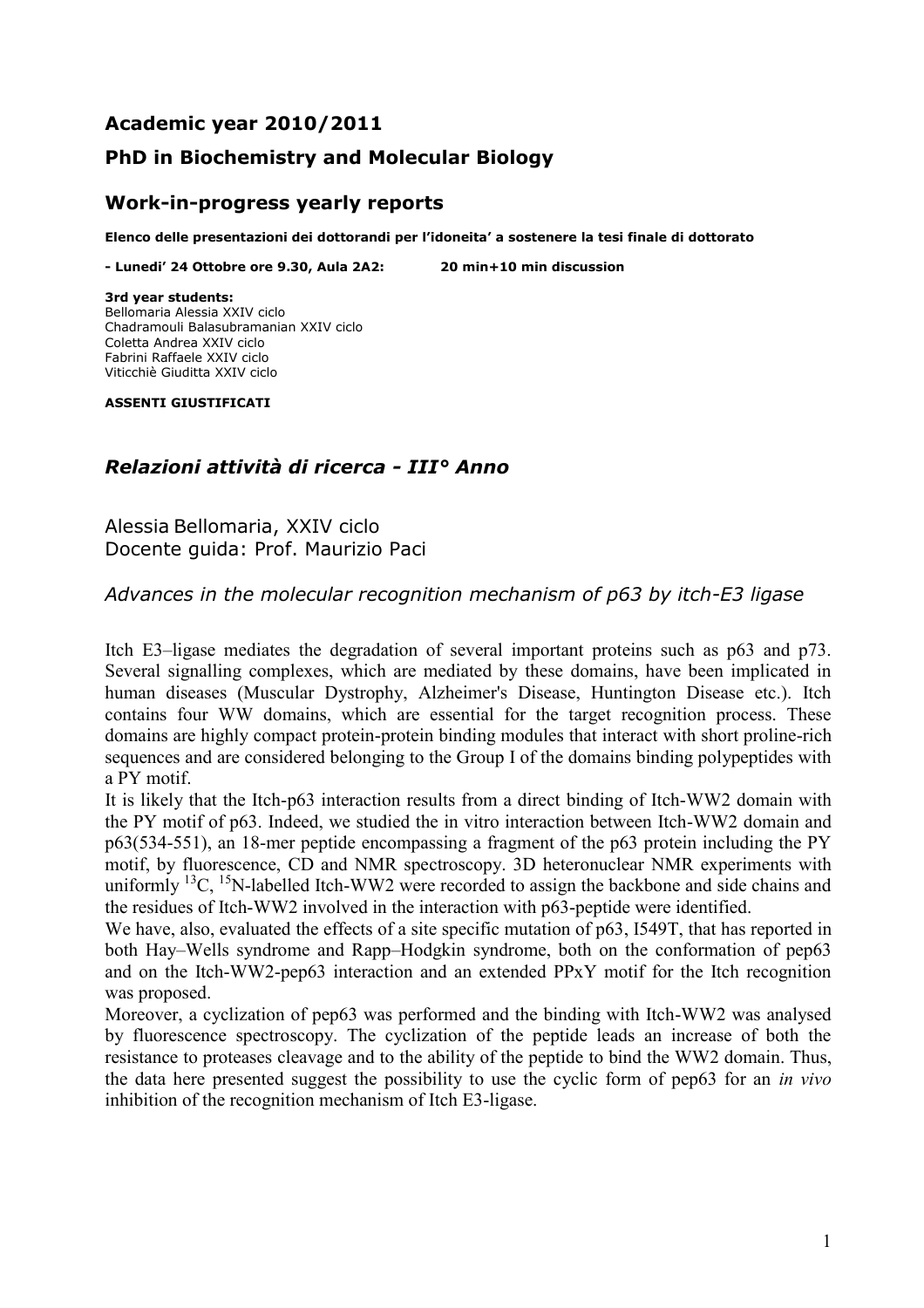# **Academic year 2010/2011**

## **PhD in Biochemistry and Molecular Biology**

#### **Work-in-progress yearly reports**

**Elenco delle presentazioni dei dottorandi per l'idoneita' a sostenere la tesi finale di dottorato**

**- Lunedi' 24 Ottobre ore 9.30, Aula 2A2: 20 min+10 min discussion**

**3rd year students:** Bellomaria Alessia XXIV ciclo Chadramouli Balasubramanian XXIV ciclo Coletta Andrea XXIV ciclo Fabrini Raffaele XXIV ciclo Viticchiè Giuditta XXIV ciclo

**ASSENTI GIUSTIFICATI**

## *Relazioni attività di ricerca - III° Anno*

Alessia Bellomaria, XXIV ciclo Docente guida: Prof. Maurizio Paci

*Advances in the molecular recognition mechanism of p63 by itch-E3 ligase*

Itch E3–ligase mediates the degradation of several important proteins such as p63 and p73. Several signalling complexes, which are mediated by these domains, have been implicated in human diseases (Muscular Dystrophy, Alzheimer's Disease, Huntington Disease etc.). Itch contains four WW domains, which are essential for the target recognition process. These domains are highly compact protein-protein binding modules that interact with short proline-rich sequences and are considered belonging to the Group I of the domains binding polypeptides with a PY motif.

It is likely that the Itch-p63 interaction results from a direct binding of Itch-WW2 domain with the PY motif of p63. Indeed, we studied the in vitro interaction between Itch-WW2 domain and p63(534-551), an 18-mer peptide encompassing a fragment of the p63 protein including the PY motif, by fluorescence, CD and NMR spectroscopy. 3D heteronuclear NMR experiments with uniformly  $^{13}C$ ,  $^{15}N$ -labelled Itch-WW2 were recorded to assign the backbone and side chains and the residues of Itch-WW2 involved in the interaction with p63-peptide were identified.

We have, also, evaluated the effects of a site specific mutation of p63, I549T, that has reported in both Hay–Wells syndrome and Rapp–Hodgkin syndrome, both on the conformation of pep63 and on the Itch-WW2-pep63 interaction and an extended PPxY motif for the Itch recognition was proposed.

Moreover, a cyclization of pep63 was performed and the binding with Itch-WW2 was analysed by fluorescence spectroscopy. The cyclization of the peptide leads an increase of both the resistance to proteases cleavage and to the ability of the peptide to bind the WW2 domain. Thus, the data here presented suggest the possibility to use the cyclic form of pep63 for an *in vivo*  inhibition of the recognition mechanism of Itch E3-ligase.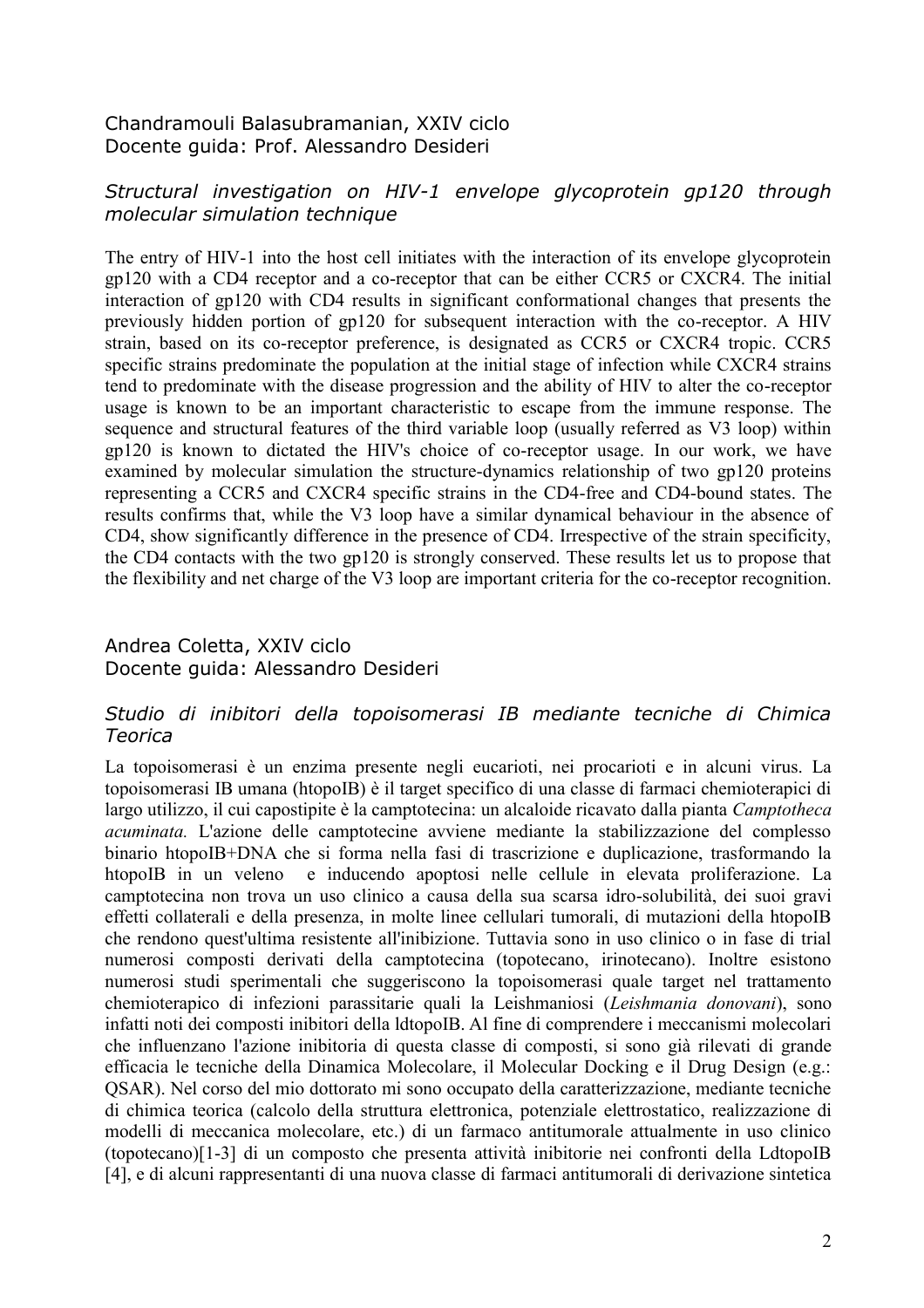## Chandramouli Balasubramanian, XXIV ciclo Docente guida: Prof. Alessandro Desideri

## *Structural investigation on HIV-1 envelope glycoprotein gp120 through molecular simulation technique*

The entry of HIV-1 into the host cell initiates with the interaction of its envelope glycoprotein gp120 with a CD4 receptor and a co-receptor that can be either CCR5 or CXCR4. The initial interaction of gp120 with CD4 results in significant conformational changes that presents the previously hidden portion of gp120 for subsequent interaction with the co-receptor. A HIV strain, based on its co-receptor preference, is designated as CCR5 or CXCR4 tropic. CCR5 specific strains predominate the population at the initial stage of infection while CXCR4 strains tend to predominate with the disease progression and the ability of HIV to alter the co-receptor usage is known to be an important characteristic to escape from the immune response. The sequence and structural features of the third variable loop (usually referred as V3 loop) within gp120 is known to dictated the HIV's choice of co-receptor usage. In our work, we have examined by molecular simulation the structure-dynamics relationship of two gp120 proteins representing a CCR5 and CXCR4 specific strains in the CD4-free and CD4-bound states. The results confirms that, while the V3 loop have a similar dynamical behaviour in the absence of CD4, show significantly difference in the presence of CD4. Irrespective of the strain specificity, the CD4 contacts with the two gp120 is strongly conserved. These results let us to propose that the flexibility and net charge of the V3 loop are important criteria for the co-receptor recognition.

## Andrea Coletta, XXIV ciclo Docente guida: Alessandro Desideri

## *Studio di inibitori della topoisomerasi IB mediante tecniche di Chimica Teorica*

La topoisomerasi è un enzima presente negli eucarioti, nei procarioti e in alcuni virus. La topoisomerasi IB umana (htopoIB) è il target specifico di una classe di farmaci chemioterapici di largo utilizzo, il cui capostipite è la camptotecina: un alcaloide ricavato dalla pianta *Camptotheca acuminata.* L'azione delle camptotecine avviene mediante la stabilizzazione del complesso binario htopoIB+DNA che si forma nella fasi di trascrizione e duplicazione, trasformando la htopoIB in un veleno e inducendo apoptosi nelle cellule in elevata proliferazione. La camptotecina non trova un uso clinico a causa della sua scarsa idro-solubilità, dei suoi gravi effetti collaterali e della presenza, in molte linee cellulari tumorali, di mutazioni della htopoIB che rendono quest'ultima resistente all'inibizione. Tuttavia sono in uso clinico o in fase di trial numerosi composti derivati della camptotecina (topotecano, irinotecano). Inoltre esistono numerosi studi sperimentali che suggeriscono la topoisomerasi quale target nel trattamento chemioterapico di infezioni parassitarie quali la Leishmaniosi (*Leishmania donovani*), sono infatti noti dei composti inibitori della ldtopoIB. Al fine di comprendere i meccanismi molecolari che influenzano l'azione inibitoria di questa classe di composti, si sono già rilevati di grande efficacia le tecniche della Dinamica Molecolare, il Molecular Docking e il Drug Design (e.g.: QSAR). Nel corso del mio dottorato mi sono occupato della caratterizzazione, mediante tecniche di chimica teorica (calcolo della struttura elettronica, potenziale elettrostatico, realizzazione di modelli di meccanica molecolare, etc.) di un farmaco antitumorale attualmente in uso clinico (topotecano)[1-3] di un composto che presenta attività inibitorie nei confronti della LdtopoIB [4], e di alcuni rappresentanti di una nuova classe di farmaci antitumorali di derivazione sintetica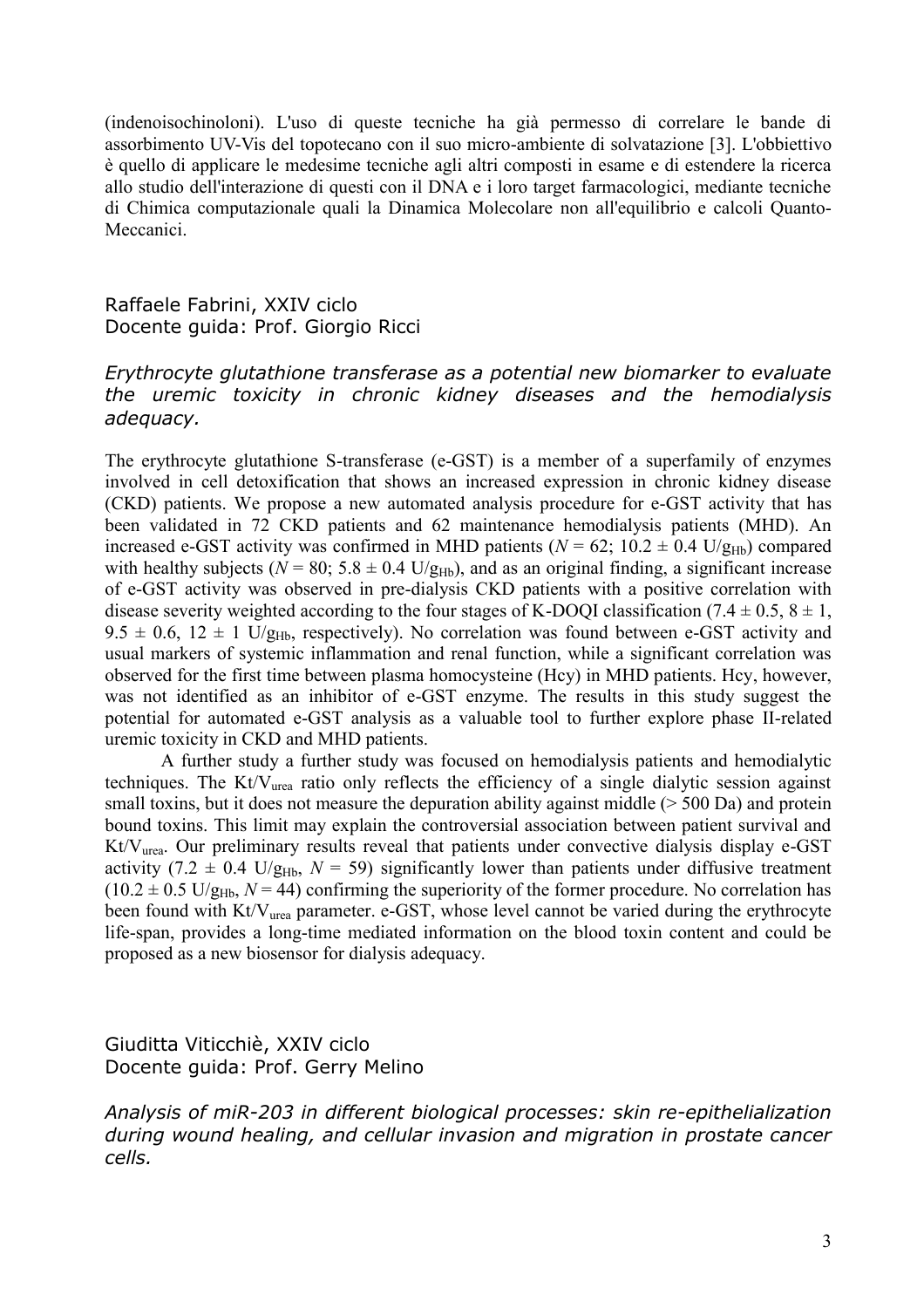(indenoisochinoloni). L'uso di queste tecniche ha già permesso di correlare le bande di assorbimento UV-Vis del topotecano con il suo micro-ambiente di solvatazione [3]. L'obbiettivo è quello di applicare le medesime tecniche agli altri composti in esame e di estendere la ricerca allo studio dell'interazione di questi con il DNA e i loro target farmacologici, mediante tecniche di Chimica computazionale quali la Dinamica Molecolare non all'equilibrio e calcoli Quanto-Meccanici.

Raffaele Fabrini, XXIV ciclo Docente guida: Prof. Giorgio Ricci

### *Erythrocyte glutathione transferase as a potential new biomarker to evaluate the uremic toxicity in chronic kidney diseases and the hemodialysis adequacy.*

The erythrocyte glutathione S-transferase (e-GST) is a member of a superfamily of enzymes involved in cell detoxification that shows an increased expression in chronic kidney disease (CKD) patients. We propose a new automated analysis procedure for e-GST activity that has been validated in 72 CKD patients and 62 maintenance hemodialysis patients (MHD). An increased e-GST activity was confirmed in MHD patients ( $N = 62$ ; 10.2  $\pm$  0.4 U/g<sub>Hb</sub>) compared with healthy subjects ( $N = 80$ ;  $5.8 \pm 0.4$  U/g<sub>Hb</sub>), and as an original finding, a significant increase of e-GST activity was observed in pre-dialysis CKD patients with a positive correlation with disease severity weighted according to the four stages of K-DOQI classification (7.4  $\pm$  0.5, 8  $\pm$  1,  $9.5 \pm 0.6$ ,  $12 \pm 1$  U/g<sub>Hb</sub>, respectively). No correlation was found between e-GST activity and usual markers of systemic inflammation and renal function, while a significant correlation was observed for the first time between plasma homocysteine (Hcy) in MHD patients. Hcy, however, was not identified as an inhibitor of e-GST enzyme. The results in this study suggest the potential for automated e-GST analysis as a valuable tool to further explore phase II-related uremic toxicity in CKD and MHD patients.

A further study a further study was focused on hemodialysis patients and hemodialytic techniques. The Kt/Vurea ratio only reflects the efficiency of a single dialytic session against small toxins, but it does not measure the depuration ability against middle  $($  > 500 Da) and protein bound toxins. This limit may explain the controversial association between patient survival and Kt/Vurea. Our preliminary results reveal that patients under convective dialysis display e-GST activity (7.2  $\pm$  0.4 U/g<sub>Hb</sub>, *N* = 59) significantly lower than patients under diffusive treatment  $(10.2 \pm 0.5 \text{ U/g}_{\text{Hb}})$ ,  $N = 44$ ) confirming the superiority of the former procedure. No correlation has been found with Kt/V<sub>urea</sub> parameter. e-GST, whose level cannot be varied during the erythrocyte life-span, provides a long-time mediated information on the blood toxin content and could be proposed as a new biosensor for dialysis adequacy.

Giuditta Viticchiè, XXIV ciclo Docente guida: Prof. Gerry Melino

*Analysis of miR-203 in different biological processes: skin re-epithelialization during wound healing, and cellular invasion and migration in prostate cancer cells.*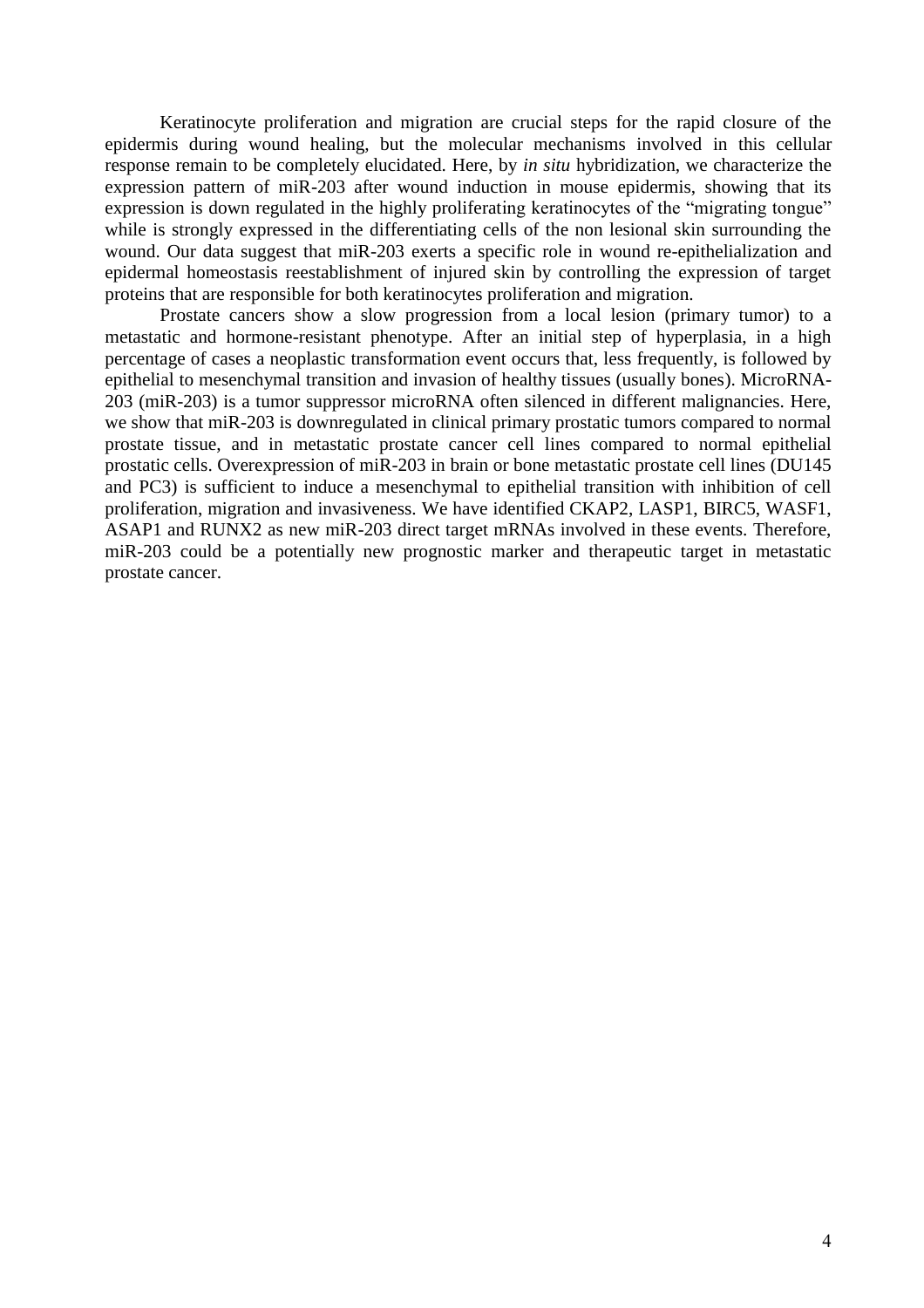Keratinocyte proliferation and migration are crucial steps for the rapid closure of the epidermis during wound healing, but the molecular mechanisms involved in this cellular response remain to be completely elucidated. Here, by *in situ* hybridization, we characterize the expression pattern of miR-203 after wound induction in mouse epidermis, showing that its expression is down regulated in the highly proliferating keratinocytes of the "migrating tongue" while is strongly expressed in the differentiating cells of the non lesional skin surrounding the wound. Our data suggest that miR-203 exerts a specific role in wound re-epithelialization and epidermal homeostasis reestablishment of injured skin by controlling the expression of target proteins that are responsible for both keratinocytes proliferation and migration.

Prostate cancers show a slow progression from a local lesion (primary tumor) to a metastatic and hormone-resistant phenotype. After an initial step of hyperplasia, in a high percentage of cases a neoplastic transformation event occurs that, less frequently, is followed by epithelial to mesenchymal transition and invasion of healthy tissues (usually bones). MicroRNA-203 (miR-203) is a tumor suppressor microRNA often silenced in different malignancies. Here, we show that miR-203 is downregulated in clinical primary prostatic tumors compared to normal prostate tissue, and in metastatic prostate cancer cell lines compared to normal epithelial prostatic cells. Overexpression of miR-203 in brain or bone metastatic prostate cell lines (DU145 and PC3) is sufficient to induce a mesenchymal to epithelial transition with inhibition of cell proliferation, migration and invasiveness. We have identified CKAP2, LASP1, BIRC5, WASF1, ASAP1 and RUNX2 as new miR-203 direct target mRNAs involved in these events. Therefore, miR-203 could be a potentially new prognostic marker and therapeutic target in metastatic prostate cancer.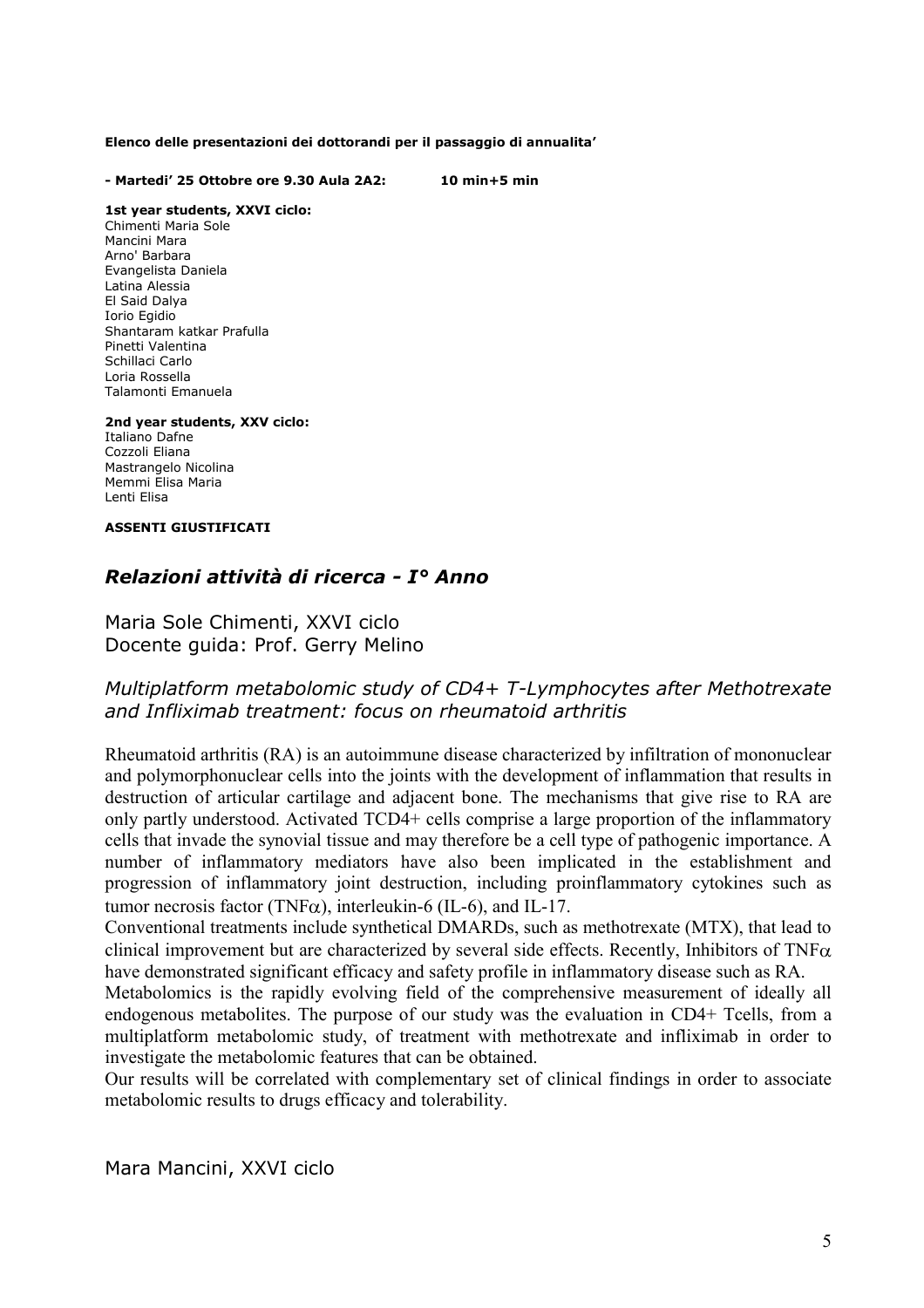#### **Elenco delle presentazioni dei dottorandi per il passaggio di annualita'**

#### **- Martedi' 25 Ottobre ore 9.30 Aula 2A2: 10 min+5 min**

#### **1st year students, XXVI ciclo:**

Chimenti Maria Sole Mancini Mara Arno' Barbara Evangelista Daniela Latina Alessia El Said Dalya Iorio Egidio Shantaram katkar Prafulla Pinetti Valentina Schillaci Carlo Loria Rossella Talamonti Emanuela

#### **2nd year students, XXV ciclo:**

Italiano Dafne Cozzoli Eliana Mastrangelo Nicolina Memmi Elisa Maria Lenti Elisa

#### **ASSENTI GIUSTIFICATI**

### *Relazioni attività di ricerca - I° Anno*

#### Maria Sole Chimenti, XXVI ciclo Docente guida: Prof. Gerry Melino

## *Multiplatform metabolomic study of CD4+ T-Lymphocytes after Methotrexate and Infliximab treatment: focus on rheumatoid arthritis*

Rheumatoid arthritis (RA) is an autoimmune disease characterized by infiltration of mononuclear and polymorphonuclear cells into the joints with the development of inflammation that results in destruction of articular cartilage and adjacent bone. The mechanisms that give rise to RA are only partly understood. Activated TCD4+ cells comprise a large proportion of the inflammatory cells that invade the synovial tissue and may therefore be a cell type of pathogenic importance. A number of inflammatory mediators have also been implicated in the establishment and progression of inflammatory joint destruction, including proinflammatory cytokines such as tumor necrosis factor (TNF $\alpha$ ), interleukin-6 (IL-6), and IL-17.

Conventional treatments include synthetical DMARDs, such as methotrexate (MTX), that lead to clinical improvement but are characterized by several side effects. Recently, Inhibitors of TNF $\alpha$ have demonstrated significant efficacy and safety profile in inflammatory disease such as RA.

Metabolomics is the rapidly evolving field of the comprehensive measurement of ideally all endogenous metabolites. The purpose of our study was the evaluation in CD4+ Tcells, from a multiplatform metabolomic study, of treatment with methotrexate and infliximab in order to investigate the metabolomic features that can be obtained.

Our results will be correlated with complementary set of clinical findings in order to associate metabolomic results to drugs efficacy and tolerability.

Mara Mancini, XXVI ciclo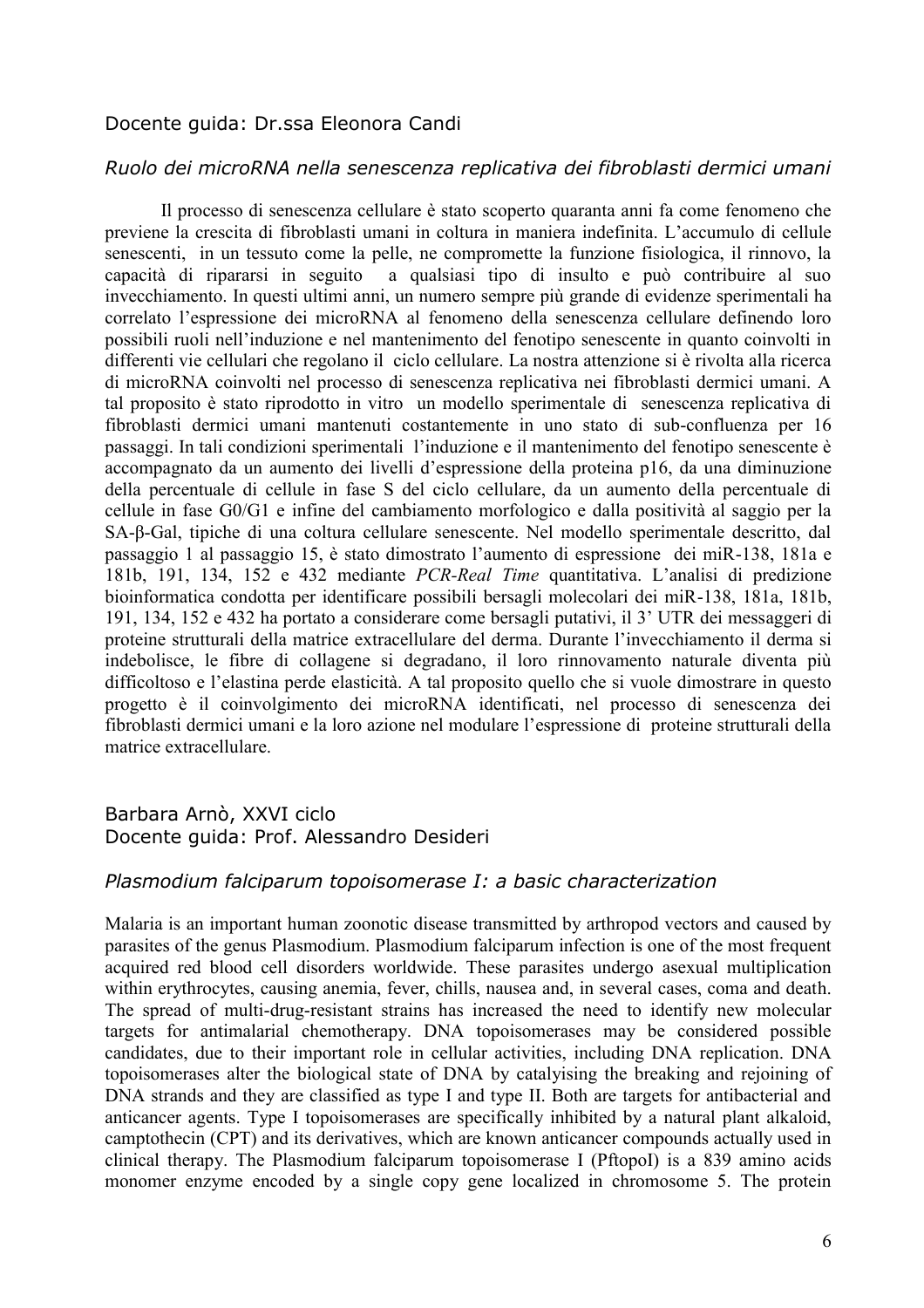#### Docente guida: Dr.ssa Eleonora Candi

## *Ruolo dei microRNA nella senescenza replicativa dei fibroblasti dermici umani*

 Il processo di senescenza cellulare è stato scoperto quaranta anni fa come fenomeno che previene la crescita di fibroblasti umani in coltura in maniera indefinita. L'accumulo di cellule senescenti, in un tessuto come la pelle, ne compromette la funzione fisiologica, il rinnovo, la capacità di ripararsi in seguito a qualsiasi tipo di insulto e può contribuire al suo invecchiamento. In questi ultimi anni, un numero sempre più grande di evidenze sperimentali ha correlato l'espressione dei microRNA al fenomeno della senescenza cellulare definendo loro possibili ruoli nell'induzione e nel mantenimento del fenotipo senescente in quanto coinvolti in differenti vie cellulari che regolano il ciclo cellulare. La nostra attenzione si è rivolta alla ricerca di microRNA coinvolti nel processo di senescenza replicativa nei fibroblasti dermici umani. A tal proposito è stato riprodotto in vitro un modello sperimentale di senescenza replicativa di fibroblasti dermici umani mantenuti costantemente in uno stato di sub-confluenza per 16 passaggi. In tali condizioni sperimentali l'induzione e il mantenimento del fenotipo senescente è accompagnato da un aumento dei livelli d'espressione della proteina p16, da una diminuzione della percentuale di cellule in fase S del ciclo cellulare, da un aumento della percentuale di cellule in fase G0/G1 e infine del cambiamento morfologico e dalla positività al saggio per la SA-β-Gal, tipiche di una coltura cellulare senescente. Nel modello sperimentale descritto, dal passaggio 1 al passaggio 15, è stato dimostrato l'aumento di espressione dei miR-138, 181a e 181b, 191, 134, 152 e 432 mediante *PCR-Real Time* quantitativa. L'analisi di predizione bioinformatica condotta per identificare possibili bersagli molecolari dei miR-138, 181a, 181b, 191, 134, 152 e 432 ha portato a considerare come bersagli putativi, il 3' UTR dei messaggeri di proteine strutturali della matrice extracellulare del derma. Durante l'invecchiamento il derma si indebolisce, le fibre di collagene si degradano, il loro rinnovamento naturale diventa più difficoltoso e l'elastina perde elasticità. A tal proposito quello che si vuole dimostrare in questo progetto è il coinvolgimento dei microRNA identificati, nel processo di senescenza dei fibroblasti dermici umani e la loro azione nel modulare l'espressione di proteine strutturali della matrice extracellulare.

#### Barbara Arnò, XXVI ciclo Docente guida: Prof. Alessandro Desideri

#### *Plasmodium falciparum topoisomerase I: a basic characterization*

Malaria is an important human zoonotic disease transmitted by arthropod vectors and caused by parasites of the genus Plasmodium. Plasmodium falciparum infection is one of the most frequent acquired red blood cell disorders worldwide. These parasites undergo asexual multiplication within erythrocytes, causing anemia, fever, chills, nausea and, in several cases, coma and death. The spread of multi-drug-resistant strains has increased the need to identify new molecular targets for antimalarial chemotherapy. DNA topoisomerases may be considered possible candidates, due to their important role in cellular activities, including DNA replication. DNA topoisomerases alter the biological state of DNA by catalyising the breaking and rejoining of DNA strands and they are classified as type I and type II. Both are targets for antibacterial and anticancer agents. Type I topoisomerases are specifically inhibited by a natural plant alkaloid, camptothecin (CPT) and its derivatives, which are known anticancer compounds actually used in clinical therapy. The Plasmodium falciparum topoisomerase I (PftopoI) is a 839 amino acids monomer enzyme encoded by a single copy gene localized in chromosome 5. The protein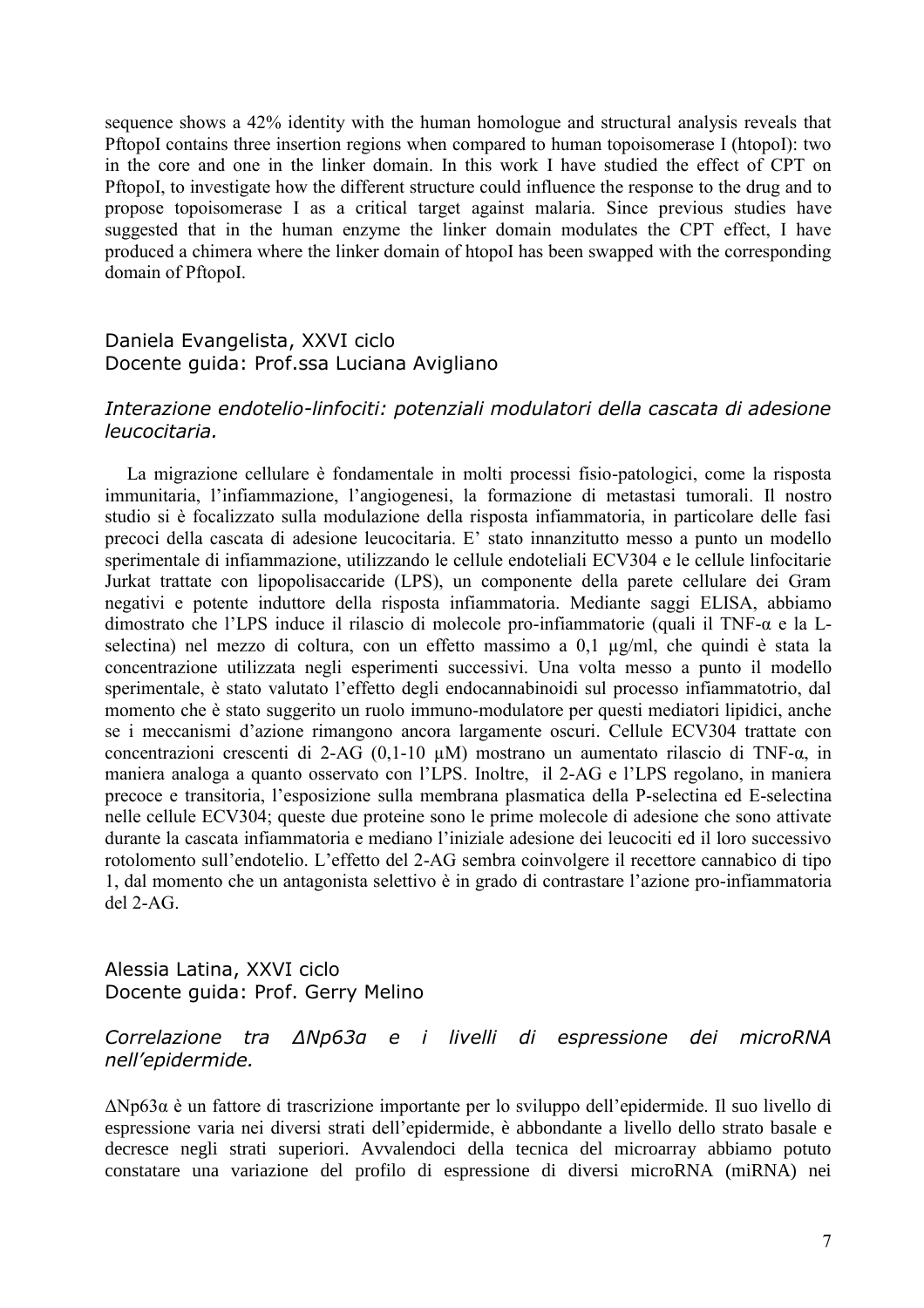sequence shows a 42% identity with the human homologue and structural analysis reveals that PftopoI contains three insertion regions when compared to human topoisomerase I (htopoI): two in the core and one in the linker domain. In this work I have studied the effect of CPT on PftopoI, to investigate how the different structure could influence the response to the drug and to propose topoisomerase I as a critical target against malaria. Since previous studies have suggested that in the human enzyme the linker domain modulates the CPT effect, I have produced a chimera where the linker domain of htopoI has been swapped with the corresponding domain of PftopoI.

## Daniela Evangelista, XXVI ciclo Docente guida: Prof.ssa Luciana Avigliano

#### *Interazione endotelio-linfociti: potenziali modulatori della cascata di adesione leucocitaria.*

La migrazione cellulare è fondamentale in molti processi fisio-patologici, come la risposta immunitaria, l'infiammazione, l'angiogenesi, la formazione di metastasi tumorali. Il nostro studio si è focalizzato sulla modulazione della risposta infiammatoria, in particolare delle fasi precoci della cascata di adesione leucocitaria. E' stato innanzitutto messo a punto un modello sperimentale di infiammazione, utilizzando le cellule endoteliali ECV304 e le cellule linfocitarie Jurkat trattate con lipopolisaccaride (LPS), un componente della parete cellulare dei Gram negativi e potente induttore della risposta infiammatoria. Mediante saggi ELISA, abbiamo dimostrato che l'LPS induce il rilascio di molecole pro-infiammatorie (quali il TNF-α e la Lselectina) nel mezzo di coltura, con un effetto massimo a 0,1 µg/ml, che quindi è stata la concentrazione utilizzata negli esperimenti successivi. Una volta messo a punto il modello sperimentale, è stato valutato l'effetto degli endocannabinoidi sul processo infiammatotrio, dal momento che è stato suggerito un ruolo immuno-modulatore per questi mediatori lipidici, anche se i meccanismi d'azione rimangono ancora largamente oscuri. Cellule ECV304 trattate con concentrazioni crescenti di 2-AG (0,1-10 µM) mostrano un aumentato rilascio di TNF-α, in maniera analoga a quanto osservato con l'LPS. Inoltre, il 2-AG e l'LPS regolano, in maniera precoce e transitoria, l'esposizione sulla membrana plasmatica della P-selectina ed E-selectina nelle cellule ECV304; queste due proteine sono le prime molecole di adesione che sono attivate durante la cascata infiammatoria e mediano l'iniziale adesione dei leucociti ed il loro successivo rotolomento sull'endotelio. L'effetto del 2-AG sembra coinvolgere il recettore cannabico di tipo 1, dal momento che un antagonista selettivo è in grado di contrastare l'azione pro-infiammatoria del 2-AG.

Alessia Latina, XXVI ciclo Docente guida: Prof. Gerry Melino

### *Correlazione tra ΔNp63α e i livelli di espressione dei microRNA nell'epidermide.*

ΔNp63α è un fattore di trascrizione importante per lo sviluppo dell'epidermide. Il suo livello di espressione varia nei diversi strati dell'epidermide, è abbondante a livello dello strato basale e decresce negli strati superiori. Avvalendoci della tecnica del microarray abbiamo potuto constatare una variazione del profilo di espressione di diversi microRNA (miRNA) nei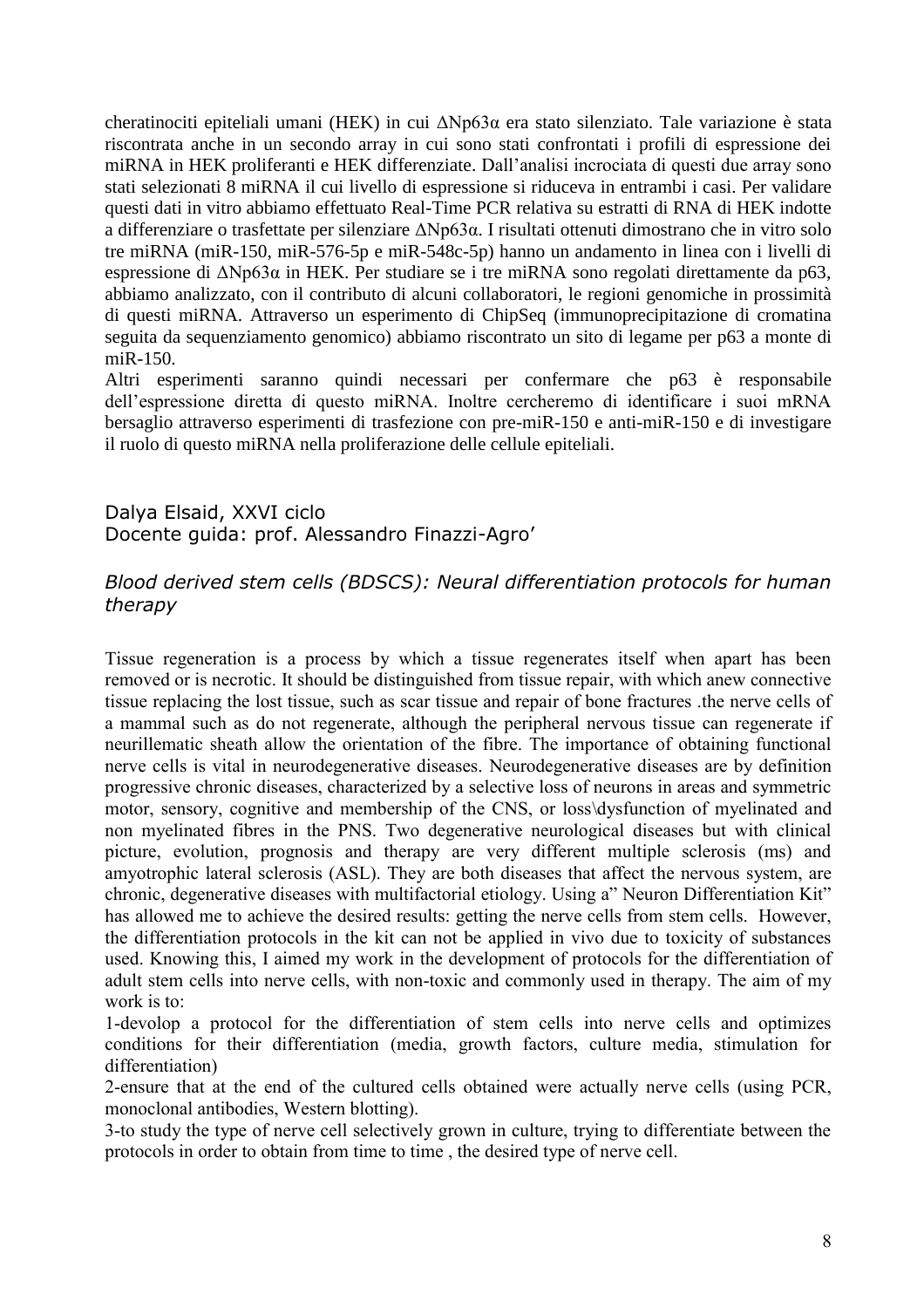cheratinociti epiteliali umani (HEK) in cui ΔNp63α era stato silenziato. Tale variazione è stata riscontrata anche in un secondo array in cui sono stati confrontati i profili di espressione dei miRNA in HEK proliferanti e HEK differenziate. Dall'analisi incrociata di questi due array sono stati selezionati 8 miRNA il cui livello di espressione si riduceva in entrambi i casi. Per validare questi dati in vitro abbiamo effettuato Real-Time PCR relativa su estratti di RNA di HEK indotte a differenziare o trasfettate per silenziare ΔNp63α. I risultati ottenuti dimostrano che in vitro solo tre miRNA (miR-150, miR-576-5p e miR-548c-5p) hanno un andamento in linea con i livelli di espressione di ΔNp63α in HEK. Per studiare se i tre miRNA sono regolati direttamente da p63, abbiamo analizzato, con il contributo di alcuni collaboratori, le regioni genomiche in prossimità di questi miRNA. Attraverso un esperimento di ChipSeq (immunoprecipitazione di cromatina seguita da sequenziamento genomico) abbiamo riscontrato un sito di legame per p63 a monte di miR-150.

Altri esperimenti saranno quindi necessari per confermare che p63 è responsabile dell'espressione diretta di questo miRNA. Inoltre cercheremo di identificare i suoi mRNA bersaglio attraverso esperimenti di trasfezione con pre-miR-150 e anti-miR-150 e di investigare il ruolo di questo miRNA nella proliferazione delle cellule epiteliali.

## Dalya Elsaid, XXVI ciclo Docente guida: prof. Alessandro Finazzi-Agro'

## *Blood derived stem cells (BDSCS): Neural differentiation protocols for human therapy*

Tissue regeneration is a process by which a tissue regenerates itself when apart has been removed or is necrotic. It should be distinguished from tissue repair, with which anew connective tissue replacing the lost tissue, such as scar tissue and repair of bone fractures .the nerve cells of a mammal such as do not regenerate, although the peripheral nervous tissue can regenerate if neurillematic sheath allow the orientation of the fibre. The importance of obtaining functional nerve cells is vital in neurodegenerative diseases. Neurodegenerative diseases are by definition progressive chronic diseases, characterized by a selective loss of neurons in areas and symmetric motor, sensory, cognitive and membership of the CNS, or loss\dysfunction of myelinated and non myelinated fibres in the PNS. Two degenerative neurological diseases but with clinical picture, evolution, prognosis and therapy are very different multiple sclerosis (ms) and amyotrophic lateral sclerosis (ASL). They are both diseases that affect the nervous system, are chronic, degenerative diseases with multifactorial etiology. Using a" Neuron Differentiation Kit" has allowed me to achieve the desired results: getting the nerve cells from stem cells. However, the differentiation protocols in the kit can not be applied in vivo due to toxicity of substances used. Knowing this, I aimed my work in the development of protocols for the differentiation of adult stem cells into nerve cells, with non-toxic and commonly used in therapy. The aim of my work is to:

1-devolop a protocol for the differentiation of stem cells into nerve cells and optimizes conditions for their differentiation (media, growth factors, culture media, stimulation for differentiation)

2-ensure that at the end of the cultured cells obtained were actually nerve cells (using PCR, monoclonal antibodies, Western blotting).

3-to study the type of nerve cell selectively grown in culture, trying to differentiate between the protocols in order to obtain from time to time , the desired type of nerve cell.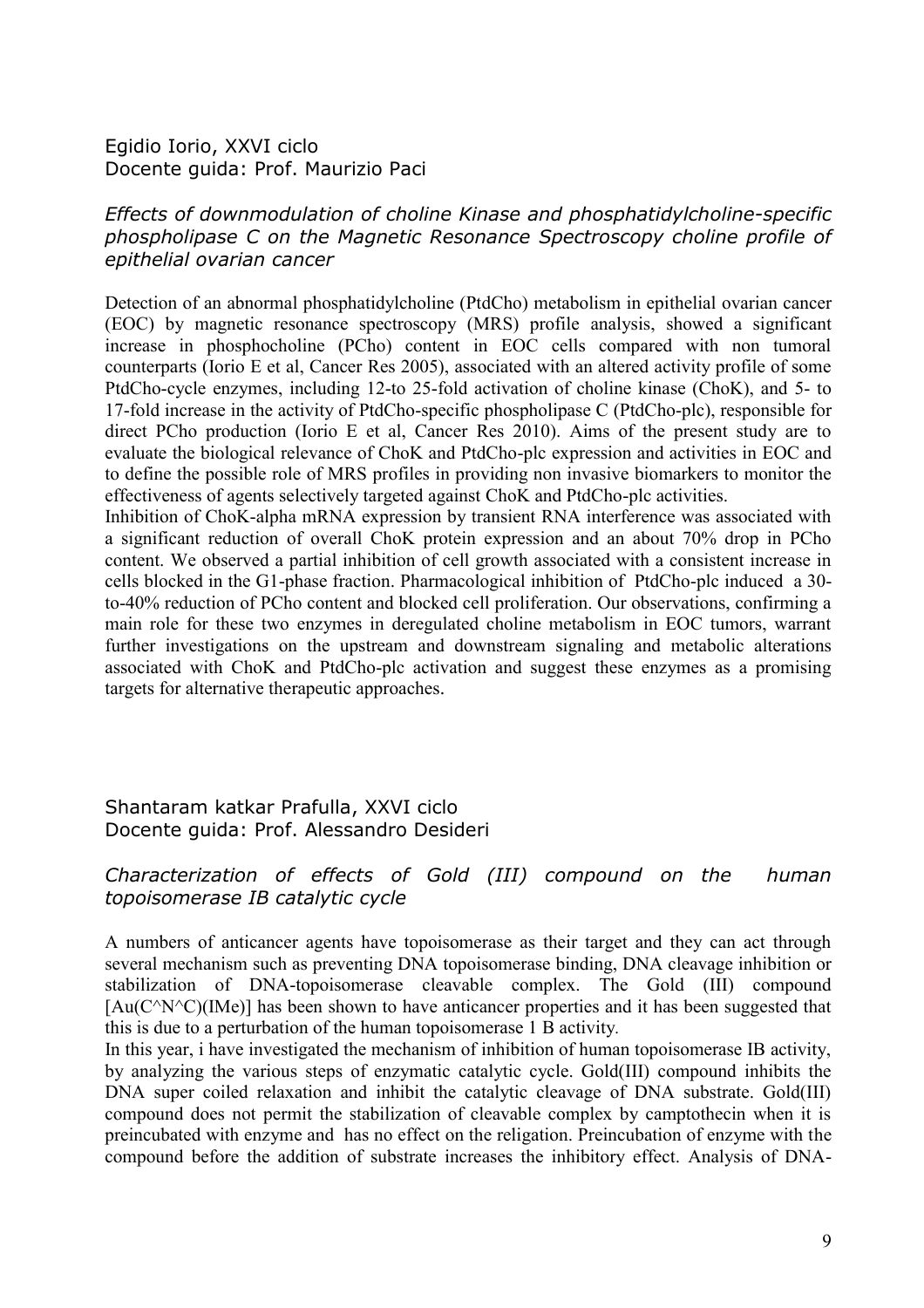## Egidio Iorio, XXVI ciclo Docente guida: Prof. Maurizio Paci

## *Effects of downmodulation of choline Kinase and phosphatidylcholine-specific phospholipase C on the Magnetic Resonance Spectroscopy choline profile of epithelial ovarian cancer*

Detection of an abnormal phosphatidylcholine (PtdCho) metabolism in epithelial ovarian cancer (EOC) by magnetic resonance spectroscopy (MRS) profile analysis, showed a significant increase in phosphocholine (PCho) content in EOC cells compared with non tumoral counterparts (Iorio E et al, Cancer Res 2005), associated with an altered activity profile of some PtdCho-cycle enzymes, including 12-to 25-fold activation of choline kinase (ChoK), and 5- to 17-fold increase in the activity of PtdCho-specific phospholipase C (PtdCho-plc), responsible for direct PCho production (Iorio E et al, Cancer Res 2010). Aims of the present study are to evaluate the biological relevance of ChoK and PtdCho-plc expression and activities in EOC and to define the possible role of MRS profiles in providing non invasive biomarkers to monitor the effectiveness of agents selectively targeted against ChoK and PtdCho-plc activities.

Inhibition of ChoK-alpha mRNA expression by transient RNA interference was associated with a significant reduction of overall ChoK protein expression and an about 70% drop in PCho content. We observed a partial inhibition of cell growth associated with a consistent increase in cells blocked in the G1-phase fraction. Pharmacological inhibition of PtdCho-plc induced a 30 to-40% reduction of PCho content and blocked cell proliferation. Our observations, confirming a main role for these two enzymes in deregulated choline metabolism in EOC tumors, warrant further investigations on the upstream and downstream signaling and metabolic alterations associated with ChoK and PtdCho-plc activation and suggest these enzymes as a promising targets for alternative therapeutic approaches.

## Shantaram katkar Prafulla, XXVI ciclo Docente guida: Prof. Alessandro Desideri

## *Characterization of effects of Gold (III) compound on the human topoisomerase IB catalytic cycle*

A numbers of anticancer agents have topoisomerase as their target and they can act through several mechanism such as preventing DNA topoisomerase binding, DNA cleavage inhibition or stabilization of DNA-topoisomerase cleavable complex. The Gold (III) compound  $[Au(C^NC)(IMe)]$  has been shown to have anticancer properties and it has been suggested that this is due to a perturbation of the human topoisomerase 1 B activity*.*

In this year, i have investigated the mechanism of inhibition of human topoisomerase IB activity, by analyzing the various steps of enzymatic catalytic cycle. Gold(III) compound inhibits the DNA super coiled relaxation and inhibit the catalytic cleavage of DNA substrate. Gold(III) compound does not permit the stabilization of cleavable complex by camptothecin when it is preincubated with enzyme and has no effect on the religation. Preincubation of enzyme with the compound before the addition of substrate increases the inhibitory effect. Analysis of DNA-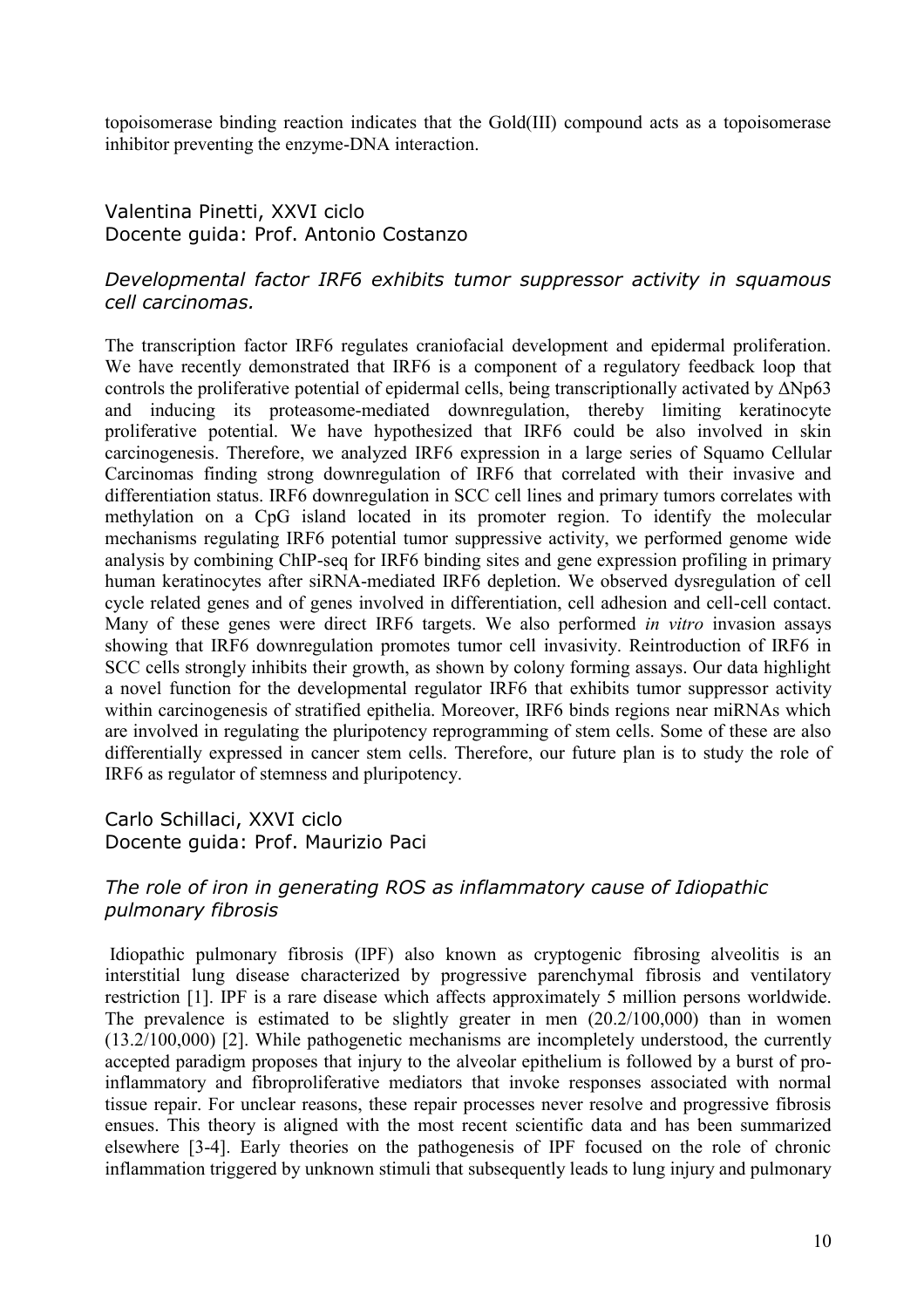topoisomerase binding reaction indicates that the Gold(III) compound acts as a topoisomerase inhibitor preventing the enzyme-DNA interaction.

## Valentina Pinetti, XXVI ciclo Docente guida: Prof. Antonio Costanzo

## *Developmental factor IRF6 exhibits tumor suppressor activity in squamous cell carcinomas.*

The transcription factor IRF6 regulates craniofacial development and epidermal proliferation. We have recently demonstrated that IRF6 is a component of a regulatory feedback loop that controls the proliferative potential of epidermal cells, being transcriptionally activated by ΔNp63 and inducing its proteasome-mediated downregulation, thereby limiting keratinocyte proliferative potential. We have hypothesized that IRF6 could be also involved in skin carcinogenesis. Therefore, we analyzed IRF6 expression in a large series of Squamo Cellular Carcinomas finding strong downregulation of IRF6 that correlated with their invasive and differentiation status. IRF6 downregulation in SCC cell lines and primary tumors correlates with methylation on a CpG island located in its promoter region. To identify the molecular mechanisms regulating IRF6 potential tumor suppressive activity, we performed genome wide analysis by combining ChIP-seq for IRF6 binding sites and gene expression profiling in primary human keratinocytes after siRNA-mediated IRF6 depletion. We observed dysregulation of cell cycle related genes and of genes involved in differentiation, cell adhesion and cell-cell contact. Many of these genes were direct IRF6 targets. We also performed *in vitro* invasion assays showing that IRF6 downregulation promotes tumor cell invasivity. Reintroduction of IRF6 in SCC cells strongly inhibits their growth, as shown by colony forming assays. Our data highlight a novel function for the developmental regulator IRF6 that exhibits tumor suppressor activity within carcinogenesis of stratified epithelia. Moreover, IRF6 binds regions near miRNAs which are involved in regulating the pluripotency reprogramming of stem cells. Some of these are also differentially expressed in cancer stem cells. Therefore, our future plan is to study the role of IRF6 as regulator of stemness and pluripotency.

## Carlo Schillaci, XXVI ciclo Docente guida: Prof. Maurizio Paci

### *The role of iron in generating ROS as inflammatory cause of Idiopathic pulmonary fibrosis*

Idiopathic pulmonary fibrosis (IPF) also known as cryptogenic fibrosing alveolitis is an interstitial lung disease characterized by progressive parenchymal fibrosis and ventilatory restriction [1]. IPF is a rare disease which affects approximately 5 million persons worldwide. The prevalence is estimated to be slightly greater in men (20.2/100,000) than in women (13.2/100,000) [2]. While pathogenetic mechanisms are incompletely understood, the currently accepted paradigm proposes that injury to the alveolar epithelium is followed by a burst of proinflammatory and fibroproliferative mediators that invoke responses associated with normal tissue repair. For unclear reasons, these repair processes never resolve and progressive fibrosis ensues. This theory is aligned with the most recent scientific data and has been summarized elsewhere [3-4]. Early theories on the pathogenesis of IPF focused on the role of chronic inflammation triggered by unknown stimuli that subsequently leads to lung injury and pulmonary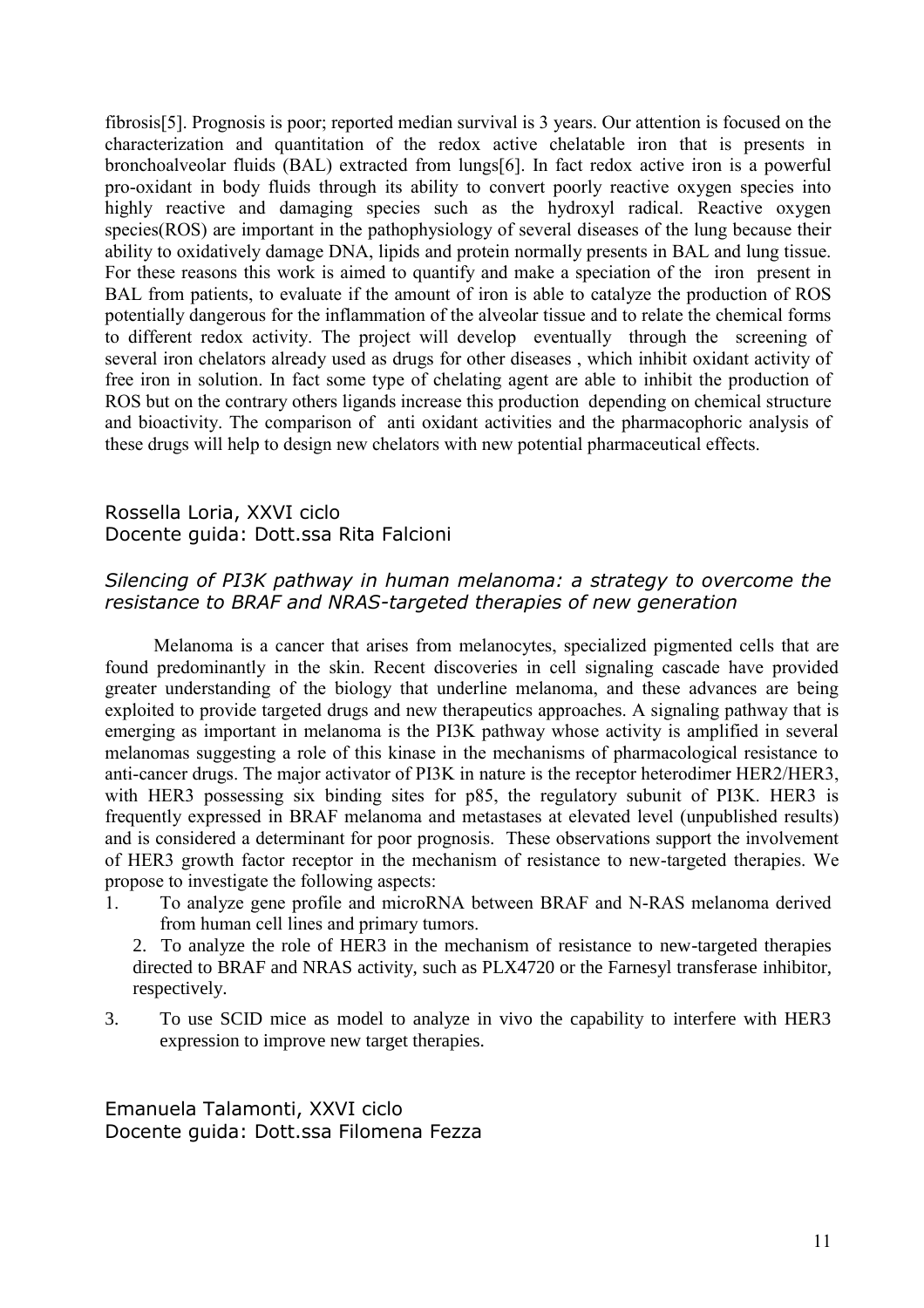fibrosis[5]. Prognosis is poor; reported median survival is 3 years. Our attention is focused on the characterization and quantitation of the redox active chelatable iron that is presents in bronchoalveolar fluids (BAL) extracted from lungs[6]. In fact redox active iron is a powerful pro-oxidant in body fluids through its ability to convert poorly reactive oxygen species into highly reactive and damaging species such as the hydroxyl radical. Reactive oxygen species(ROS) are important in the pathophysiology of several diseases of the lung because their ability to oxidatively damage DNA, lipids and protein normally presents in BAL and lung tissue. For these reasons this work is aimed to quantify and make a speciation of the iron present in BAL from patients, to evaluate if the amount of iron is able to catalyze the production of ROS potentially dangerous for the inflammation of the alveolar tissue and to relate the chemical forms to different redox activity. The project will develop eventually through the screening of several iron chelators already used as drugs for other diseases , which inhibit oxidant activity of free iron in solution. In fact some type of chelating agent are able to inhibit the production of ROS but on the contrary others ligands increase this production depending on chemical structure and bioactivity. The comparison of anti oxidant activities and the pharmacophoric analysis of these drugs will help to design new chelators with new potential pharmaceutical effects.

## Rossella Loria, XXVI ciclo Docente guida: Dott.ssa Rita Falcioni

## *Silencing of PI3K pathway in human melanoma: a strategy to overcome the resistance to BRAF and NRAS-targeted therapies of new generation*

Melanoma is a cancer that arises from melanocytes, specialized pigmented cells that are found predominantly in the skin. Recent discoveries in cell signaling cascade have provided greater understanding of the biology that underline melanoma, and these advances are being exploited to provide targeted drugs and new therapeutics approaches. A signaling pathway that is emerging as important in melanoma is the PI3K pathway whose activity is amplified in several melanomas suggesting a role of this kinase in the mechanisms of pharmacological resistance to anti-cancer drugs. The major activator of PI3K in nature is the receptor heterodimer HER2/HER3, with HER3 possessing six binding sites for p85, the regulatory subunit of PI3K. HER3 is frequently expressed in BRAF melanoma and metastases at elevated level (unpublished results) and is considered a determinant for poor prognosis. These observations support the involvement of HER3 growth factor receptor in the mechanism of resistance to new-targeted therapies. We propose to investigate the following aspects:

- 1. To analyze gene profile and microRNA between BRAF and N-RAS melanoma derived from human cell lines and primary tumors.
	- 2. To analyze the role of HER3 in the mechanism of resistance to new-targeted therapies directed to BRAF and NRAS activity, such as PLX4720 or the Farnesyl transferase inhibitor, respectively.
- 3. To use SCID mice as model to analyze in vivo the capability to interfere with HER3 expression to improve new target therapies.

Emanuela Talamonti, XXVI ciclo Docente guida: Dott.ssa Filomena Fezza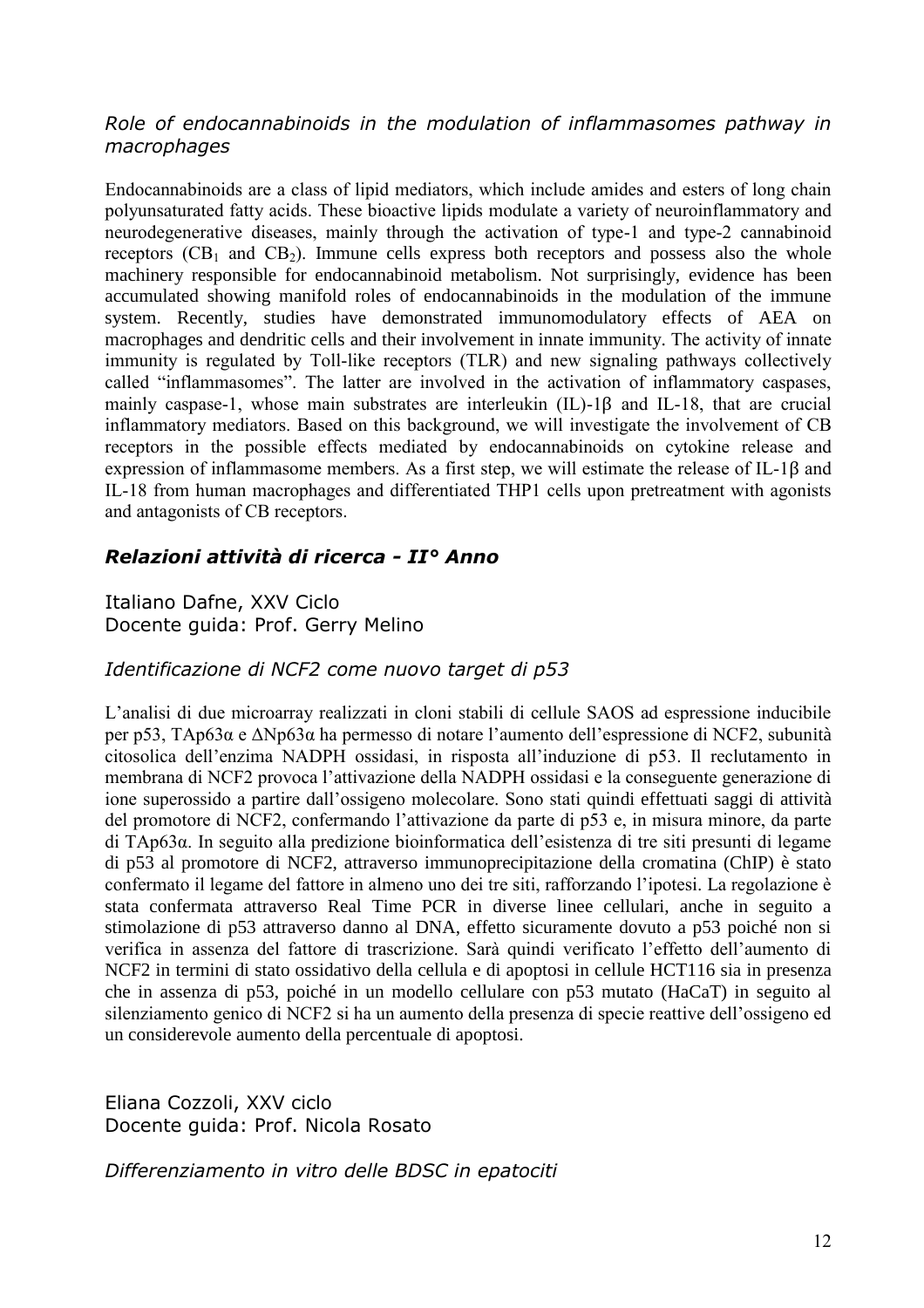## *Role of endocannabinoids in the modulation of inflammasomes pathway in macrophages*

Endocannabinoids are a class of lipid mediators, which include amides and esters of long chain polyunsaturated fatty acids. These bioactive lipids modulate a variety of neuroinflammatory and neurodegenerative diseases, mainly through the activation of type-1 and type-2 cannabinoid receptors  $(CB_1$  and  $CB_2$ ). Immune cells express both receptors and possess also the whole machinery responsible for endocannabinoid metabolism. Not surprisingly, evidence has been accumulated showing manifold roles of endocannabinoids in the modulation of the immune system. Recently, studies have demonstrated immunomodulatory effects of AEA on macrophages and dendritic cells and their involvement in innate immunity. The activity of innate immunity is regulated by Toll-like receptors (TLR) and new signaling pathways collectively called "inflammasomes". The latter are involved in the activation of inflammatory caspases, mainly caspase-1, whose main substrates are interleukin (IL)-1β and IL-18, that are crucial inflammatory mediators. Based on this background, we will investigate the involvement of CB receptors in the possible effects mediated by endocannabinoids on cytokine release and expression of inflammasome members. As a first step, we will estimate the release of IL-1β and IL-18 from human macrophages and differentiated THP1 cells upon pretreatment with agonists and antagonists of CB receptors.

## *Relazioni attività di ricerca - II° Anno*

Italiano Dafne, XXV Ciclo Docente guida: Prof. Gerry Melino

## *Identificazione di NCF2 come nuovo target di p53*

L'analisi di due microarray realizzati in cloni stabili di cellule SAOS ad espressione inducibile per p53, TAp63α e ΔNp63α ha permesso di notare l'aumento dell'espressione di NCF2, subunità citosolica dell'enzima NADPH ossidasi, in risposta all'induzione di p53. Il reclutamento in membrana di NCF2 provoca l'attivazione della NADPH ossidasi e la conseguente generazione di ione superossido a partire dall'ossigeno molecolare. Sono stati quindi effettuati saggi di attività del promotore di NCF2, confermando l'attivazione da parte di p53 e, in misura minore, da parte di TAp63α. In seguito alla predizione bioinformatica dell'esistenza di tre siti presunti di legame di p53 al promotore di NCF2, attraverso immunoprecipitazione della cromatina (ChIP) è stato confermato il legame del fattore in almeno uno dei tre siti, rafforzando l'ipotesi. La regolazione è stata confermata attraverso Real Time PCR in diverse linee cellulari, anche in seguito a stimolazione di p53 attraverso danno al DNA, effetto sicuramente dovuto a p53 poiché non si verifica in assenza del fattore di trascrizione. Sarà quindi verificato l'effetto dell'aumento di NCF2 in termini di stato ossidativo della cellula e di apoptosi in cellule HCT116 sia in presenza che in assenza di p53, poiché in un modello cellulare con p53 mutato (HaCaT) in seguito al silenziamento genico di NCF2 si ha un aumento della presenza di specie reattive dell'ossigeno ed un considerevole aumento della percentuale di apoptosi.

Eliana Cozzoli, XXV ciclo Docente guida: Prof. Nicola Rosato

*Differenziamento in vitro delle BDSC in epatociti*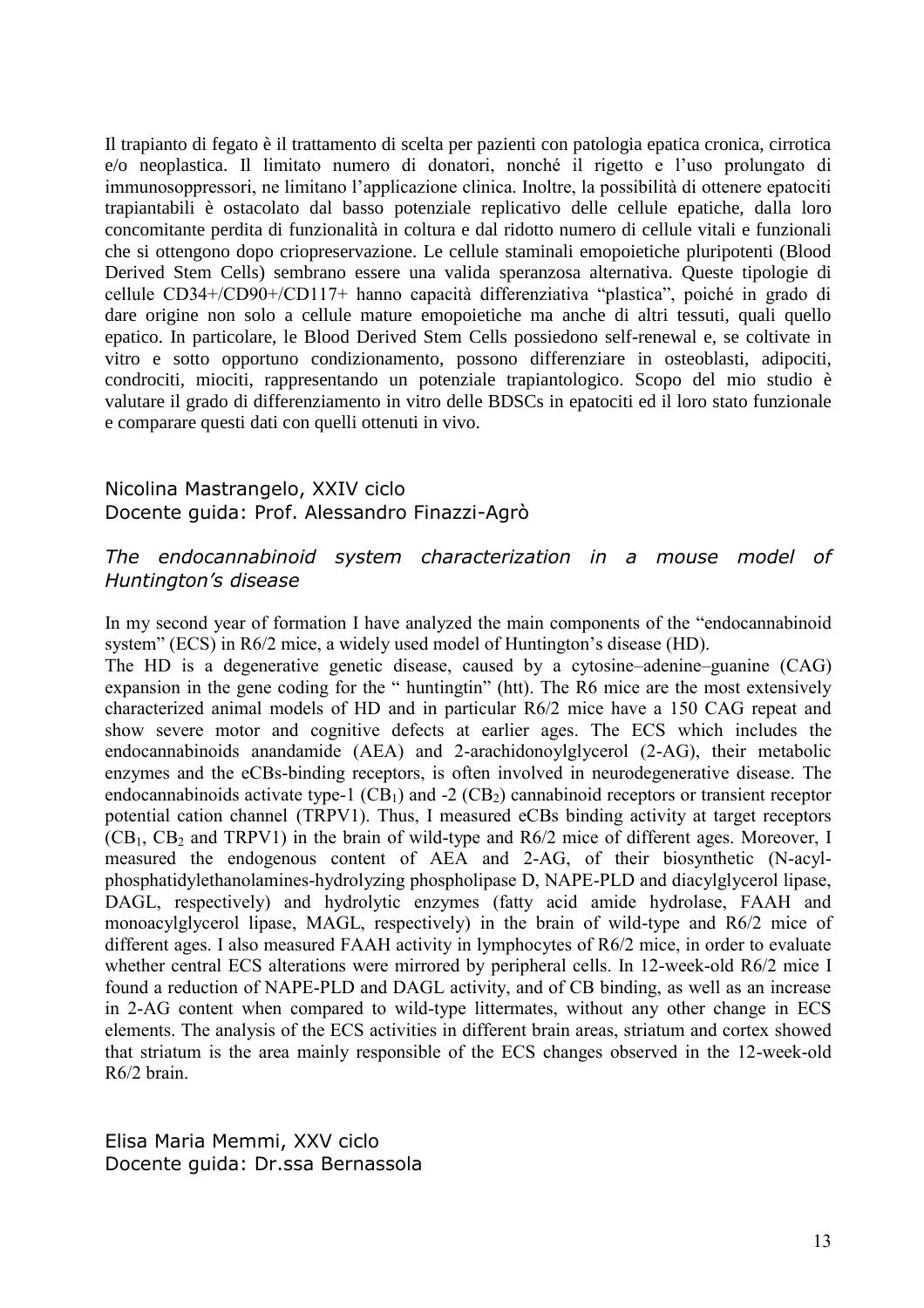Il trapianto di fegato è il trattamento di scelta per pazienti con patologia epatica cronica, cirrotica e/o neoplastica. Il limitato numero di donatori, nonché il rigetto e l'uso prolungato di immunosoppressori, ne limitano l'applicazione clinica. Inoltre, la possibilità di ottenere epatociti trapiantabili è ostacolato dal basso potenziale replicativo delle cellule epatiche, dalla loro concomitante perdita di funzionalità in coltura e dal ridotto numero di cellule vitali e funzionali che si ottengono dopo criopreservazione. Le cellule staminali emopoietiche pluripotenti (Blood Derived Stem Cells) sembrano essere una valida speranzosa alternativa. Queste tipologie di cellule CD34+/CD90+/CD117+ hanno capacità differenziativa "plastica", poiché in grado di dare origine non solo a cellule mature emopoietiche ma anche di altri tessuti, quali quello epatico. In particolare, le Blood Derived Stem Cells possiedono self-renewal e, se coltivate in vitro e sotto opportuno condizionamento, possono differenziare in osteoblasti, adipociti, condrociti, miociti, rappresentando un potenziale trapiantologico. Scopo del mio studio è valutare il grado di differenziamento in vitro delle BDSCs in epatociti ed il loro stato funzionale e comparare questi dati con quelli ottenuti in vivo.

### Nicolina Mastrangelo, XXIV ciclo Docente guida: Prof. Alessandro Finazzi-Agrò

## *The endocannabinoid system characterization in a mouse model of Huntington's disease*

In my second year of formation I have analyzed the main components of the "endocannabinoid system" (ECS) in R6/2 mice, a widely used model of Huntington's disease (HD).

The HD is a degenerative genetic disease, caused by a cytosine–adenine–guanine (CAG) expansion in the gene coding for the " huntingtin" (htt). The R6 mice are the most extensively characterized animal models of HD and in particular R6/2 mice have a 150 CAG repeat and show severe motor and cognitive defects at earlier ages. The ECS which includes the endocannabinoids anandamide (AEA) and 2-arachidonoylglycerol (2-AG), their metabolic enzymes and the eCBs-binding receptors, is often involved in neurodegenerative disease. The endocannabinoids activate type-1  $(CB_1)$  and -2  $(CB_2)$  cannabinoid receptors or transient receptor potential cation channel (TRPV1). Thus, I measured eCBs binding activity at target receptors  $(CB<sub>1</sub>, CB<sub>2</sub>$  and TRPV1) in the brain of wild-type and R6/2 mice of different ages. Moreover, I measured the endogenous content of AEA and 2-AG, of their biosynthetic (N-acylphosphatidylethanolamines-hydrolyzing phospholipase D, NAPE-PLD and diacylglycerol lipase, DAGL, respectively) and hydrolytic enzymes (fatty acid amide hydrolase, FAAH and monoacylglycerol lipase, MAGL, respectively) in the brain of wild-type and R6/2 mice of different ages. I also measured FAAH activity in lymphocytes of R6/2 mice, in order to evaluate whether central ECS alterations were mirrored by peripheral cells. In 12-week-old R6/2 mice I found a reduction of NAPE-PLD and DAGL activity, and of CB binding, as well as an increase in 2-AG content when compared to wild-type littermates, without any other change in ECS elements. The analysis of the ECS activities in different brain areas, striatum and cortex showed that striatum is the area mainly responsible of the ECS changes observed in the 12-week-old R6/2 brain.

Elisa Maria Memmi, XXV ciclo Docente guida: Dr.ssa Bernassola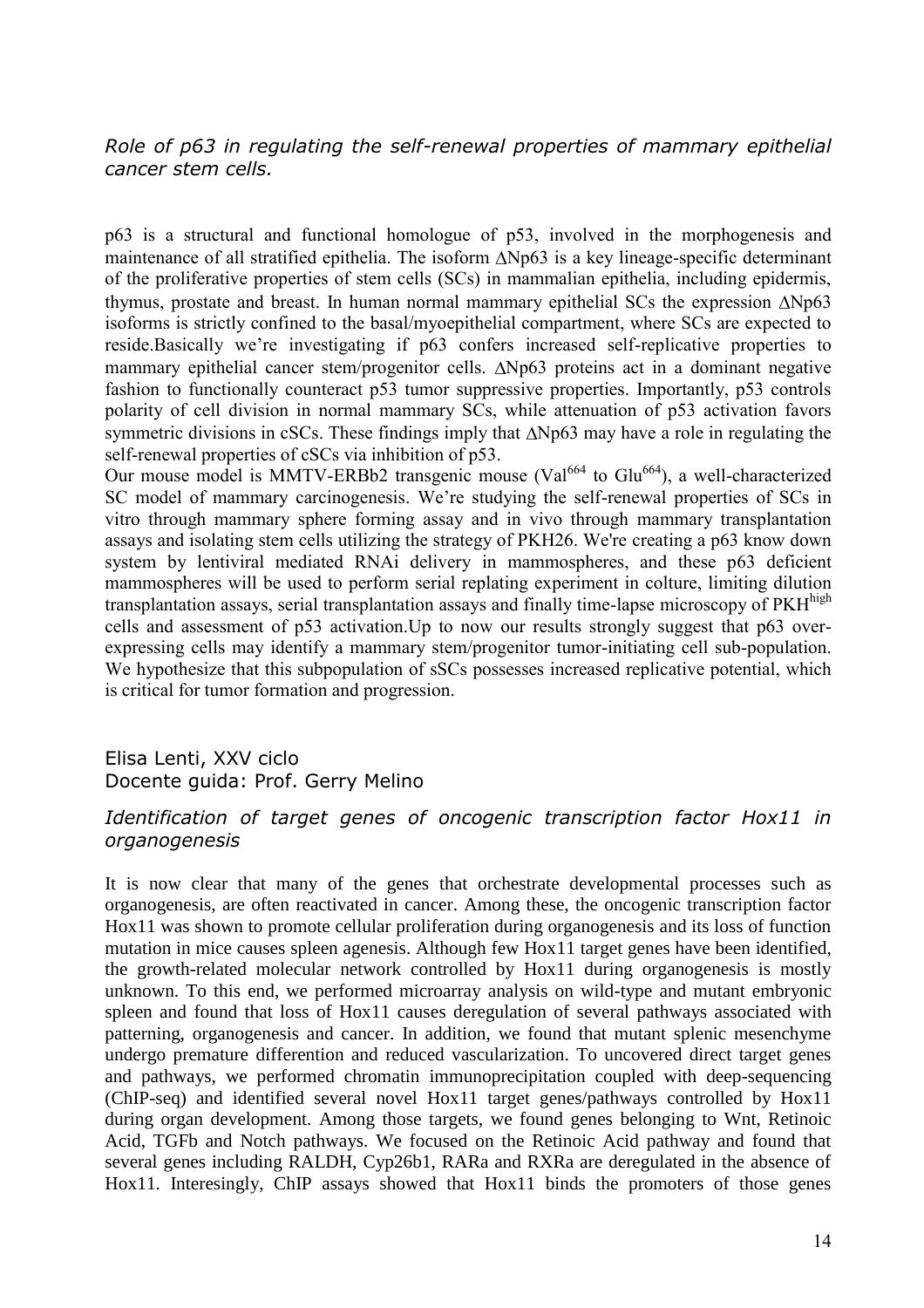*Role of p63 in regulating the self-renewal properties of mammary epithelial cancer stem cells.*

p63 is a structural and functional homologue of p53, involved in the morphogenesis and maintenance of all stratified epithelia. The isoform  $\Delta Np63$  is a key lineage-specific determinant of the proliferative properties of stem cells (SCs) in mammalian epithelia, including epidermis, thymus, prostate and breast. In human normal mammary epithelial SCs the expression  $\Delta Np63$ isoforms is strictly confined to the basal/myoepithelial compartment, where SCs are expected to reside.Basically we're investigating if p63 confers increased self-replicative properties to mammary epithelial cancer stem/progenitor cells.  $\Delta Np63$  proteins act in a dominant negative fashion to functionally counteract p53 tumor suppressive properties. Importantly, p53 controls polarity of cell division in normal mammary SCs, while attenuation of p53 activation favors symmetric divisions in cSCs. These findings imply that  $\Delta Np63$  may have a role in regulating the self-renewal properties of cSCs via inhibition of p53.

Our mouse model is MMTV-ERBb2 transgenic mouse (Val<sup>664</sup> to Glu<sup>664</sup>), a well-characterized SC model of mammary carcinogenesis. We're studying the self-renewal properties of SCs in vitro through mammary sphere forming assay and in vivo through mammary transplantation assays and isolating stem cells utilizing the strategy of PKH26. We're creating a p63 know down system by lentiviral mediated RNAi delivery in mammospheres, and these p63 deficient mammospheres will be used to perform serial replating experiment in colture, limiting dilution transplantation assays, serial transplantation assays and finally time-lapse microscopy of PKH<sup>high</sup> cells and assessment of p53 activation.Up to now our results strongly suggest that p63 overexpressing cells may identify a mammary stem/progenitor tumor-initiating cell sub-population. We hypothesize that this subpopulation of sSCs possesses increased replicative potential, which is critical for tumor formation and progression.

Elisa Lenti, XXV ciclo Docente guida: Prof. Gerry Melino

## Identification of target genes of oncogenic transcription factor Hox11 in *organogenesis*

It is now clear that many of the genes that orchestrate developmental processes such as organogenesis, are often reactivated in cancer. Among these, the oncogenic transcription factor Hox11 was shown to promote cellular proliferation during organogenesis and its loss of function mutation in mice causes spleen agenesis. Although few Hox11 target genes have been identified, the growth-related molecular network controlled by Hox11 during organogenesis is mostly unknown. To this end, we performed microarray analysis on wild-type and mutant embryonic spleen and found that loss of Hox11 causes deregulation of several pathways associated with patterning, organogenesis and cancer. In addition, we found that mutant splenic mesenchyme undergo premature differention and reduced vascularization. To uncovered direct target genes and pathways, we performed chromatin immunoprecipitation coupled with deep-sequencing (ChIP-seq) and identified several novel Hox11 target genes/pathways controlled by Hox11 during organ development. Among those targets, we found genes belonging to Wnt, Retinoic Acid, TGFb and Notch pathways. We focused on the Retinoic Acid pathway and found that several genes including RALDH, Cyp26b1, RARa and RXRa are deregulated in the absence of Hox11. Interesingly, ChIP assays showed that Hox11 binds the promoters of those genes